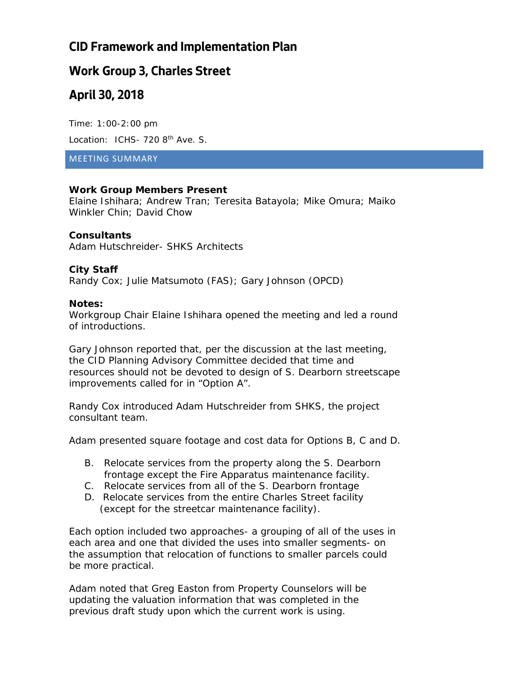## **CID Framework and Implementation Plan**

### **Work Group 3, Charles Street**

## **April 30, 2018**

Time: 1:00-2:00 pm Location: ICHS- 720 8<sup>th</sup> Ave. S.

#### MEETING SUMMARY

### **Work Group Members Present**

Elaine Ishihara; Andrew Tran; Teresita Batayola; Mike Omura; Maiko Winkler Chin; David Chow

### **Consultants**

Adam Hutschreider- SHKS Architects

### **City Staff**

Randy Cox; Julie Matsumoto (FAS); Gary Johnson (OPCD)

#### **Notes:**

Workgroup Chair Elaine Ishihara opened the meeting and led a round of introductions.

Gary Johnson reported that, per the discussion at the last meeting, the CID Planning Advisory Committee decided that time and resources should not be devoted to design of S. Dearborn streetscape improvements called for in "Option A".

Randy Cox introduced Adam Hutschreider from SHKS, the project consultant team.

Adam presented square footage and cost data for Options B, C and D.

- B. Relocate services from the property along the S. Dearborn frontage except the Fire Apparatus maintenance facility.
- C. Relocate services from all of the S. Dearborn frontage
- D. Relocate services from the entire Charles Street facility (except for the streetcar maintenance facility).

Each option included two approaches- a grouping of all of the uses in each area and one that divided the uses into smaller segments- on the assumption that relocation of functions to smaller parcels could be more practical.

Adam noted that Greg Easton from Property Counselors will be updating the valuation information that was completed in the previous draft study upon which the current work is using.